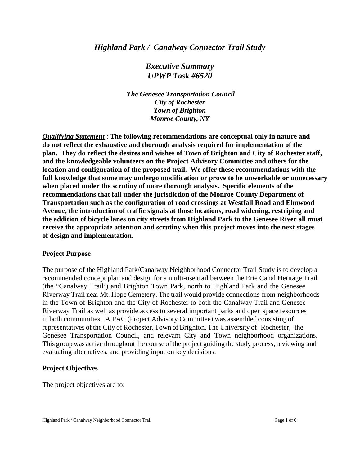## *Highland Park / Canalway Connector Trail Study*

*Executive Summary UPWP Task #6520*

 *The Genesee Transportation Council City of Rochester Town of Brighton Monroe County, NY*

*Qualifying Statement* : **The following recommendations are conceptual only in nature and do not reflect the exhaustive and thorough analysis required for implementation of the plan. They do reflect the desires and wishes of Town of Brighton and City of Rochester staff, and the knowledgeable volunteers on the Project Advisory Committee and others for the location and configuration of the proposed trail. We offer these recommendations with the full knowledge that some may undergo modification or prove to be unworkable or unnecessary when placed under the scrutiny of more thorough analysis. Specific elements of the recommendations that fall under the jurisdiction of the Monroe County Department of Transportation such as the configuration of road crossings at Westfall Road and Elmwood Avenue, the introduction of traffic signals at those locations, road widening, restriping and the addition of bicycle lanes on city streets from Highland Park to the Genesee River all must receive the appropriate attention and scrutiny when this project moves into the next stages of design and implementation.** 

### **Project Purpose**

The purpose of the Highland Park/Canalway Neighborhood Connector Trail Study is to develop a recommended concept plan and design for a multi-use trail between the Erie Canal Heritage Trail (the "Canalway Trail') and Brighton Town Park, north to Highland Park and the Genesee Riverway Trail near Mt. Hope Cemetery. The trail would provide connections from neighborhoods in the Town of Brighton and the City of Rochester to both the Canalway Trail and Genesee Riverway Trail as well as provide access to several important parks and open space resources in both communities. A PAC (Project Advisory Committee) was assembled consisting of representatives of the City of Rochester, Town of Brighton, The University of Rochester, the Genesee Transportation Council, and relevant City and Town neighborhood organizations. This group was active throughout the course of the project guiding the study process, reviewing and evaluating alternatives, and providing input on key decisions.

### **Project Objectives**

The project objectives are to: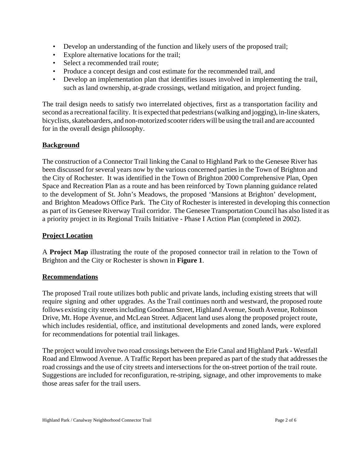- Develop an understanding of the function and likely users of the proposed trail;
- Explore alternative locations for the trail;
- Select a recommended trail route:
- Produce a concept design and cost estimate for the recommended trail, and
- Develop an implementation plan that identifies issues involved in implementing the trail, such as land ownership, at-grade crossings, wetland mitigation, and project funding.

The trail design needs to satisfy two interrelated objectives, first as a transportation facility and second as a recreational facility. It is expected that pedestrians (walking and jogging), in-line skaters, bicyclists, skateboarders, and non-motorized scooter riders will be using the trail and are accounted for in the overall design philosophy.

# **Background**

The construction of a Connector Trail linking the Canal to Highland Park to the Genesee River has been discussed for several years now by the various concerned parties in the Town of Brighton and the City of Rochester. It was identified in the Town of Brighton 2000 Comprehensive Plan, Open Space and Recreation Plan as a route and has been reinforced by Town planning guidance related to the development of St. John's Meadows, the proposed 'Mansions at Brighton' development, and Brighton Meadows Office Park. The City of Rochester is interested in developing this connection as part of its Genesee Riverway Trail corridor. The Genesee Transportation Council has also listed it as a priority project in its Regional Trails Initiative - Phase I Action Plan (completed in 2002).

### **Project Location**

A **Project Map** illustrating the route of the proposed connector trail in relation to the Town of Brighton and the City or Rochester is shown in **Figure 1**.

### **Recommendations**

The proposed Trail route utilizes both public and private lands, including existing streets that will require signing and other upgrades. As the Trail continues north and westward, the proposed route follows existing city streets including Goodman Street, Highland Avenue, South Avenue, Robinson Drive, Mt. Hope Avenue, and McLean Street. Adjacent land uses along the proposed project route, which includes residential, office, and institutional developments and zoned lands, were explored for recommendations for potential trail linkages.

The project would involve two road crossings between the Erie Canal and Highland Park - Westfall Road and Elmwood Avenue. A Traffic Report has been prepared as part of the study that addresses the road crossings and the use of city streets and intersections for the on-street portion of the trail route. Suggestions are included for reconfiguration, re-striping, signage, and other improvements to make those areas safer for the trail users.